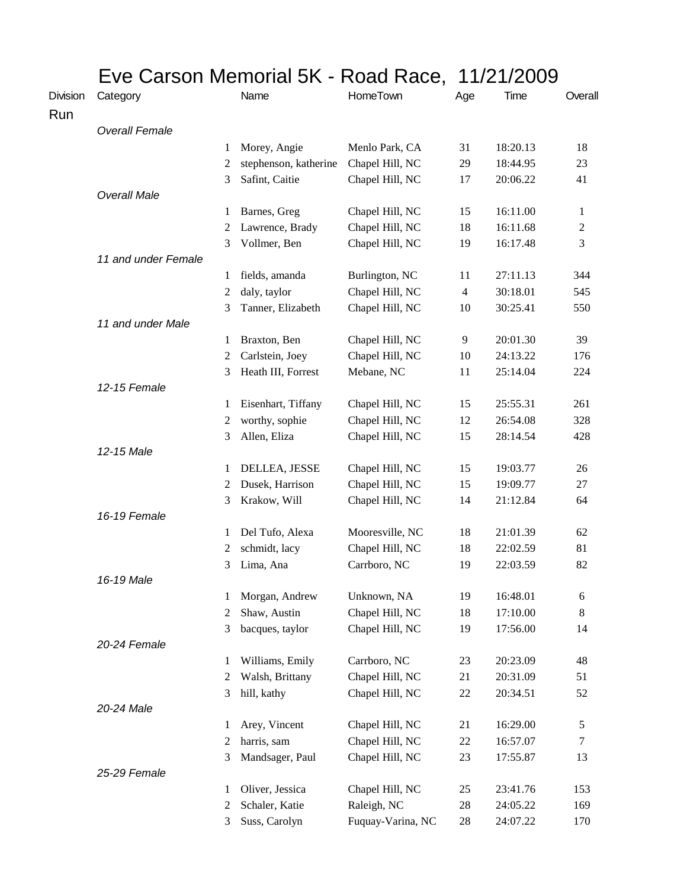|                 | Eve Carson Memorial 5K - Road Race, 11/21/2009 |                |                       |                   |                |          |                |
|-----------------|------------------------------------------------|----------------|-----------------------|-------------------|----------------|----------|----------------|
| <b>Division</b> | Category                                       |                | Name                  | <b>HomeTown</b>   | Age            | Time     | Overall        |
| Run             |                                                |                |                       |                   |                |          |                |
|                 | <b>Overall Female</b>                          |                |                       |                   |                |          |                |
|                 |                                                | 1              | Morey, Angie          | Menlo Park, CA    | 31             | 18:20.13 | 18             |
|                 |                                                | 2              | stephenson, katherine | Chapel Hill, NC   | 29             | 18:44.95 | 23             |
|                 |                                                | 3              | Safint, Caitie        | Chapel Hill, NC   | 17             | 20:06.22 | 41             |
|                 | <b>Overall Male</b>                            |                |                       |                   |                |          |                |
|                 |                                                | 1              | Barnes, Greg          | Chapel Hill, NC   | 15             | 16:11.00 | 1              |
|                 |                                                | 2              | Lawrence, Brady       | Chapel Hill, NC   | 18             | 16:11.68 | $\overline{c}$ |
|                 |                                                | 3              | Vollmer, Ben          | Chapel Hill, NC   | 19             | 16:17.48 | 3              |
|                 | 11 and under Female                            |                |                       |                   |                |          |                |
|                 |                                                | 1              | fields, amanda        | Burlington, NC    | 11             | 27:11.13 | 344            |
|                 |                                                | $\overline{c}$ | daly, taylor          | Chapel Hill, NC   | $\overline{4}$ | 30:18.01 | 545            |
|                 |                                                | 3              | Tanner, Elizabeth     | Chapel Hill, NC   | 10             | 30:25.41 | 550            |
|                 | 11 and under Male                              |                |                       |                   |                |          |                |
|                 |                                                | 1              | Braxton, Ben          | Chapel Hill, NC   | 9              | 20:01.30 | 39             |
|                 |                                                | 2              | Carlstein, Joey       | Chapel Hill, NC   | 10             | 24:13.22 | 176            |
|                 |                                                | 3              | Heath III, Forrest    | Mebane, NC        | 11             | 25:14.04 | 224            |
|                 | 12-15 Female                                   |                |                       |                   |                |          |                |
|                 |                                                | 1              | Eisenhart, Tiffany    | Chapel Hill, NC   | 15             | 25:55.31 | 261            |
|                 |                                                | 2              | worthy, sophie        | Chapel Hill, NC   | 12             | 26:54.08 | 328            |
|                 |                                                | 3              | Allen, Eliza          | Chapel Hill, NC   | 15             | 28:14.54 | 428            |
|                 | 12-15 Male                                     |                |                       |                   |                |          |                |
|                 |                                                | 1              | DELLEA, JESSE         | Chapel Hill, NC   | 15             | 19:03.77 | 26             |
|                 |                                                | 2              | Dusek, Harrison       | Chapel Hill, NC   | 15             | 19:09.77 | 27             |
|                 | 16-19 Female                                   | 3              | Krakow, Will          | Chapel Hill, NC   | 14             | 21:12.84 | 64             |
|                 |                                                |                | Del Tufo, Alexa       | Mooresville, NC   | 18             | 21:01.39 | 62             |
|                 |                                                | 1<br>2         | schmidt, lacy         |                   | 18             | 22:02.59 | 81             |
|                 |                                                |                |                       | Chapel Hill, NC   | 19             | 22:03.59 | 82             |
|                 | 16-19 Male                                     |                | 3 Lima, Ana           | Carrboro, NC      |                |          |                |
|                 |                                                | 1              | Morgan, Andrew        | Unknown, NA       | 19             | 16:48.01 | 6              |
|                 |                                                | 2              | Shaw, Austin          | Chapel Hill, NC   | 18             | 17:10.00 | 8              |
|                 |                                                | 3              | bacques, taylor       | Chapel Hill, NC   | 19             | 17:56.00 | 14             |
|                 | 20-24 Female                                   |                |                       |                   |                |          |                |
|                 |                                                | 1              | Williams, Emily       | Carrboro, NC      | 23             | 20:23.09 | 48             |
|                 |                                                | 2              | Walsh, Brittany       | Chapel Hill, NC   | 21             | 20:31.09 | 51             |
|                 |                                                | 3              | hill, kathy           | Chapel Hill, NC   | 22             | 20:34.51 | 52             |
|                 | 20-24 Male                                     |                |                       |                   |                |          |                |
|                 |                                                | 1              | Arey, Vincent         | Chapel Hill, NC   | 21             | 16:29.00 | 5              |
|                 |                                                | 2              | harris, sam           | Chapel Hill, NC   | 22             | 16:57.07 | 7              |
|                 |                                                | 3              | Mandsager, Paul       | Chapel Hill, NC   | 23             | 17:55.87 | 13             |
|                 | 25-29 Female                                   |                |                       |                   |                |          |                |
|                 |                                                | 1              | Oliver, Jessica       | Chapel Hill, NC   | 25             | 23:41.76 | 153            |
|                 |                                                | 2              | Schaler, Katie        | Raleigh, NC       | 28             | 24:05.22 | 169            |
|                 |                                                | 3              | Suss, Carolyn         | Fuquay-Varina, NC | 28             | 24:07.22 | 170            |